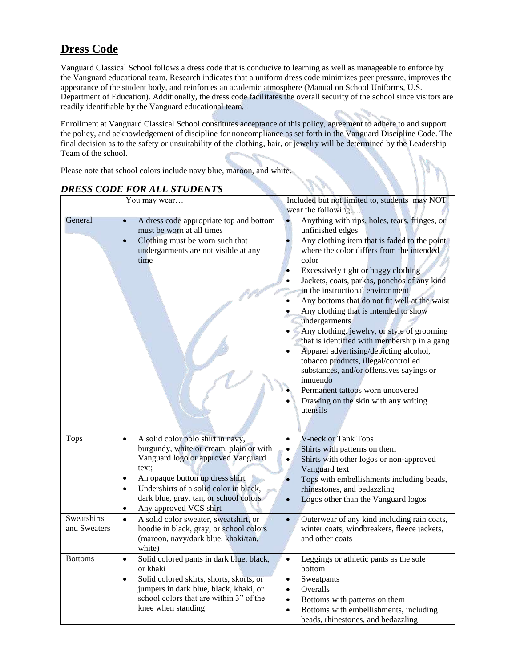## **Dress Code**

Vanguard Classical School follows a dress code that is conducive to learning as well as manageable to enforce by the Vanguard educational team. Research indicates that a uniform dress code minimizes peer pressure, improves the appearance of the student body, and reinforces an academic atmosphere (Manual on School Uniforms, U.S. Department of Education). Additionally, the dress code facilitates the overall security of the school since visitors are readily identifiable by the Vanguard educational team.

Enrollment at Vanguard Classical School constitutes acceptance of this policy, agreement to adhere to and support the policy, and acknowledgement of discipline for noncompliance as set forth in the Vanguard Discipline Code. The final decision as to the safety or unsuitability of the clothing, hair, or jewelry will be determined by the Leadership Team of the school.

Please note that school colors include navy blue, maroon, and white.

|                             | You may wear                                                                                                                                                                                                                                                                                                        | Included but not limited to, students may NOT                                                                                                                                                                                                                                                                                                                                                                                                                                                                                                                                                                                                                                                                                                                                                                  |
|-----------------------------|---------------------------------------------------------------------------------------------------------------------------------------------------------------------------------------------------------------------------------------------------------------------------------------------------------------------|----------------------------------------------------------------------------------------------------------------------------------------------------------------------------------------------------------------------------------------------------------------------------------------------------------------------------------------------------------------------------------------------------------------------------------------------------------------------------------------------------------------------------------------------------------------------------------------------------------------------------------------------------------------------------------------------------------------------------------------------------------------------------------------------------------------|
|                             |                                                                                                                                                                                                                                                                                                                     | wear the following                                                                                                                                                                                                                                                                                                                                                                                                                                                                                                                                                                                                                                                                                                                                                                                             |
| General                     | A dress code appropriate top and bottom<br>$\bullet$<br>must be worn at all times<br>Clothing must be worn such that<br>undergarments are not visible at any<br>time                                                                                                                                                | Anything with rips, holes, tears, fringes, or<br>$\bullet$<br>unfinished edges<br>Any clothing item that is faded to the point<br>where the color differs from the intended<br>color<br>Excessively tight or baggy clothing<br>$\bullet$<br>Jackets, coats, parkas, ponchos of any kind<br>in the instructional environment<br>Any bottoms that do not fit well at the waist<br>Any clothing that is intended to show<br>$\bullet$<br>undergarments<br>Any clothing, jewelry, or style of grooming<br>that is identified with membership in a gang<br>Apparel advertising/depicting alcohol,<br>$\bullet$<br>tobacco products, illegal/controlled<br>substances, and/or offensives sayings or<br>innuendo<br>Permanent tattoos worn uncovered<br>Drawing on the skin with any writing<br>$\bullet$<br>utensils |
| <b>Tops</b>                 | A solid color polo shirt in navy,<br>$\bullet$<br>burgundy, white or cream, plain or with<br>Vanguard logo or approved Vanguard<br>text;<br>An opaque button up dress shirt<br>$\bullet$<br>Undershirts of a solid color in black,<br>dark blue, gray, tan, or school colors<br>Any approved VCS shirt<br>$\bullet$ | V-neck or Tank Tops<br>$\bullet$<br>Shirts with patterns on them<br>$\bullet$<br>Shirts with other logos or non-approved<br>$\bullet$<br>Vanguard text<br>Tops with embellishments including beads,<br>$\bullet$<br>rhinestones, and bedazzling<br>Logos other than the Vanguard logos<br>$\bullet$                                                                                                                                                                                                                                                                                                                                                                                                                                                                                                            |
| Sweatshirts<br>and Sweaters | A solid color sweater, sweatshirt, or<br>$\bullet$<br>hoodie in black, gray, or school colors<br>(maroon, navy/dark blue, khaki/tan,<br>white)                                                                                                                                                                      | Outerwear of any kind including rain coats,<br>$\bullet$<br>winter coats, windbreakers, fleece jackets,<br>and other coats                                                                                                                                                                                                                                                                                                                                                                                                                                                                                                                                                                                                                                                                                     |
| <b>Bottoms</b>              | Solid colored pants in dark blue, black,<br>$\bullet$<br>or khaki<br>Solid colored skirts, shorts, skorts, or<br>$\bullet$<br>jumpers in dark blue, black, khaki, or<br>school colors that are within 3" of the<br>knee when standing                                                                               | Leggings or athletic pants as the sole<br>$\bullet$<br>bottom<br>Sweatpants<br>$\bullet$<br>Overalls<br>$\bullet$<br>Bottoms with patterns on them<br>$\bullet$<br>Bottoms with embellishments, including<br>$\bullet$<br>beads, rhinestones, and bedazzling                                                                                                                                                                                                                                                                                                                                                                                                                                                                                                                                                   |

## *DRESS CODE FOR ALL STUDENTS*